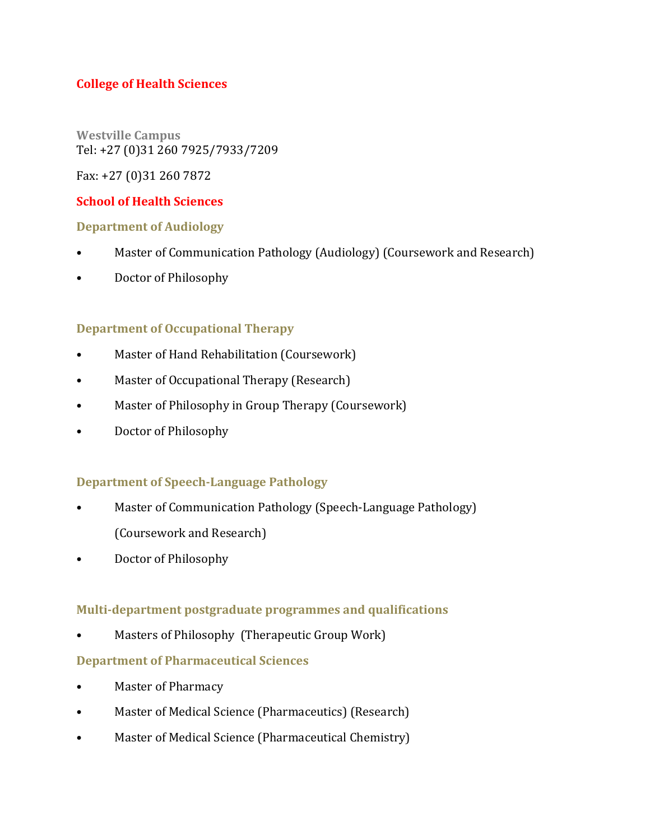### **College of Health Sciences**

**Westville Campus** Tel: +27 (0)31 260 7925/7933/7209

Fax: +27 (0)31 260 7872

### **School of Health Sciences**

#### **Department of Audiology**

- Master of Communication Pathology (Audiology) (Coursework and Research)
- Doctor of Philosophy

### **Department of Occupational Therapy**

- Master of Hand Rehabilitation (Coursework)
- Master of Occupational Therapy (Research)
- Master of Philosophy in Group Therapy (Coursework)
- Doctor of Philosophy

#### **Department of Speech-Language Pathology**

- Master of Communication Pathology (Speech-Language Pathology) (Coursework and Research)
- Doctor of Philosophy

#### **Multi-department postgraduate programmes and qualifications**

Masters of Philosophy (Therapeutic Group Work)

### **Department of Pharmaceutical Sciences**

- Master of Pharmacy
- Master of Medical Science (Pharmaceutics) (Research)
- Master of Medical Science (Pharmaceutical Chemistry)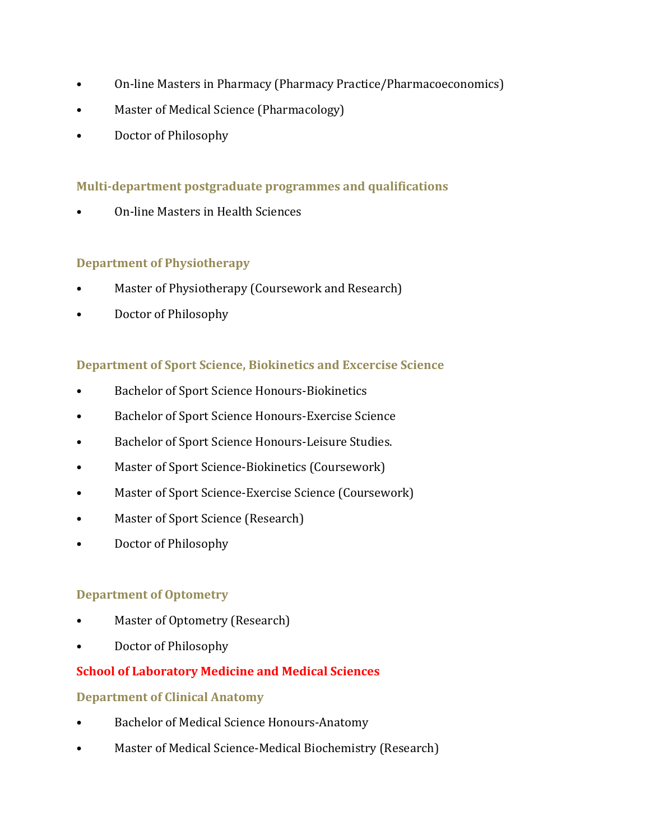- On-line Masters in Pharmacy (Pharmacy Practice/Pharmacoeconomics)
- Master of Medical Science (Pharmacology)
- Doctor of Philosophy

## **Multi-department postgraduate programmes and qualifications**

• On-line Masters in Health Sciences

## **Department of Physiotherapy**

- Master of Physiotherapy (Coursework and Research)
- Doctor of Philosophy

# **Department of Sport Science, Biokinetics and Excercise Science**

- Bachelor of Sport Science Honours-Biokinetics
- Bachelor of Sport Science Honours-Exercise Science
- Bachelor of Sport Science Honours-Leisure Studies.
- Master of Sport Science-Biokinetics (Coursework)
- Master of Sport Science-Exercise Science (Coursework)
- Master of Sport Science (Research)
- Doctor of Philosophy

# **Department of Optometry**

- Master of Optometry (Research)
- Doctor of Philosophy

# **School of Laboratory Medicine and Medical Sciences**

### **Department of Clinical Anatomy**

- Bachelor of Medical Science Honours-Anatomy
- Master of Medical Science-Medical Biochemistry (Research)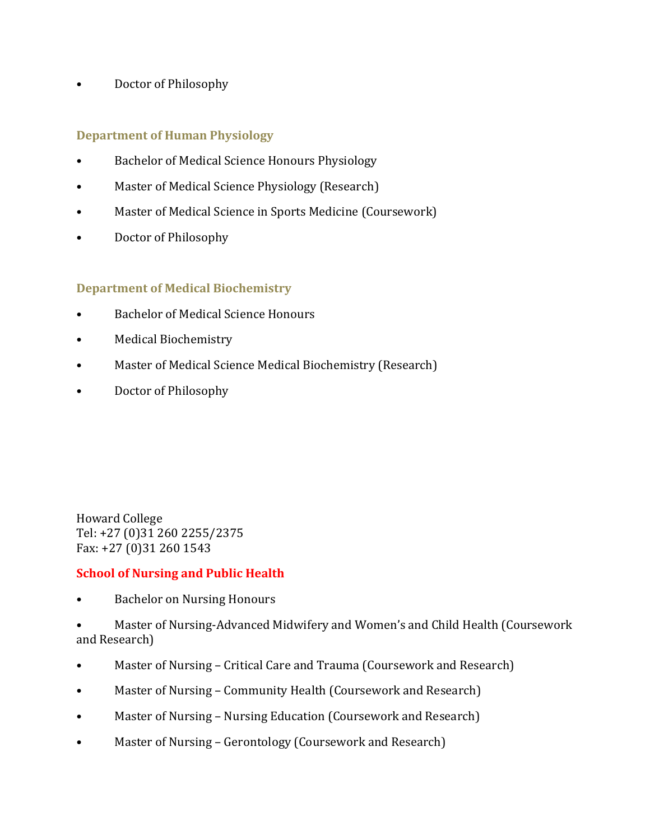• Doctor of Philosophy

### **Department of Human Physiology**

- Bachelor of Medical Science Honours Physiology
- Master of Medical Science Physiology (Research)
- Master of Medical Science in Sports Medicine (Coursework)
- Doctor of Philosophy

### **Department of Medical Biochemistry**

- Bachelor of Medical Science Honours
- Medical Biochemistry
- Master of Medical Science Medical Biochemistry (Research)
- Doctor of Philosophy

Howard College Tel: +27 (0)31 260 2255/2375 Fax: +27 (0)31 260 1543

#### **School of Nursing and Public Health**

• Bachelor on Nursing Honours

• Master of Nursing-Advanced Midwifery and Women's and Child Health (Coursework and Research)

- Master of Nursing Critical Care and Trauma (Coursework and Research)
- Master of Nursing Community Health (Coursework and Research)
- Master of Nursing Nursing Education (Coursework and Research)
- Master of Nursing Gerontology (Coursework and Research)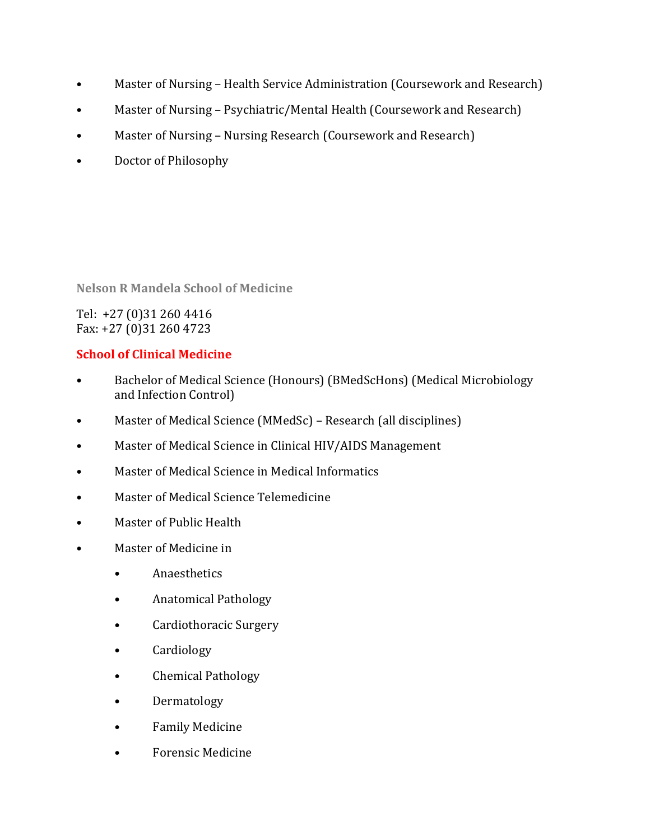- Master of Nursing Health Service Administration (Coursework and Research)
- Master of Nursing Psychiatric/Mental Health (Coursework and Research)
- Master of Nursing Nursing Research (Coursework and Research)
- Doctor of Philosophy

**Nelson R Mandela School of Medicine**

Tel: +27 (0)31 260 4416 Fax: +27 (0)31 260 4723

# **School of Clinical Medicine**

- Bachelor of Medical Science (Honours) (BMedScHons) (Medical Microbiology and Infection Control)
- Master of Medical Science (MMedSc) Research (all disciplines)
- Master of Medical Science in Clinical HIV/AIDS Management
- Master of Medical Science in Medical Informatics
- Master of Medical Science Telemedicine
- Master of Public Health
- Master of Medicine in
	- Anaesthetics
	- Anatomical Pathology
	- Cardiothoracic Surgery
	- Cardiology
	- Chemical Pathology
	- Dermatology
	- Family Medicine
	- Forensic Medicine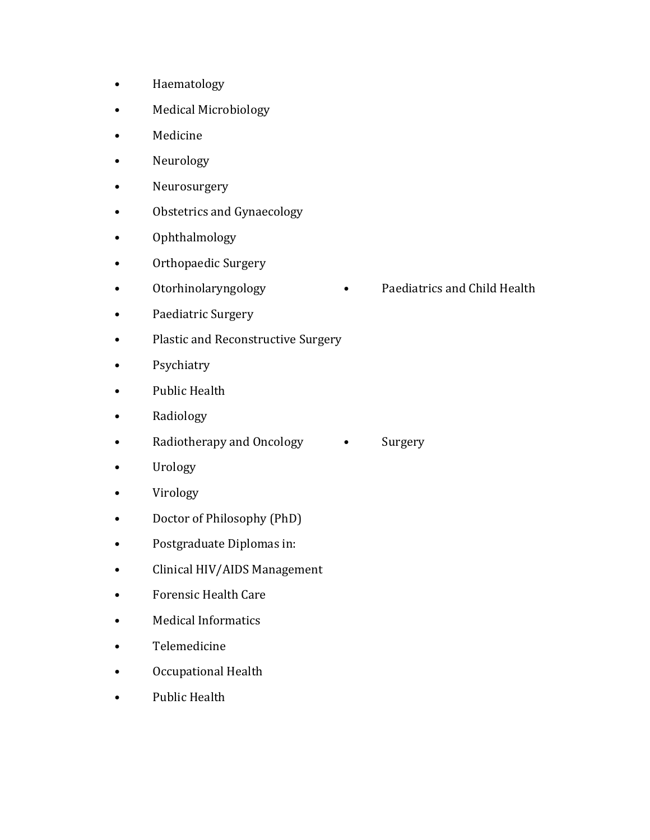- Haematology
- Medical Microbiology
- Medicine
- Neurology
- Neurosurgery
- Obstetrics and Gynaecology
- Ophthalmology
- Orthopaedic Surgery
- 
- Otorhinolaryngology Paediatrics and Child Health
- Paediatric Surgery
- Plastic and Reconstructive Surgery
- Psychiatry
- Public Health
- Radiology
- Radiotherapy and Oncology Surgery
- Urology
- Virology
- Doctor of Philosophy (PhD)
- Postgraduate Diplomas in:
- Clinical HIV/AIDS Management
- Forensic Health Care
- Medical Informatics
- Telemedicine
- Occupational Health
- Public Health